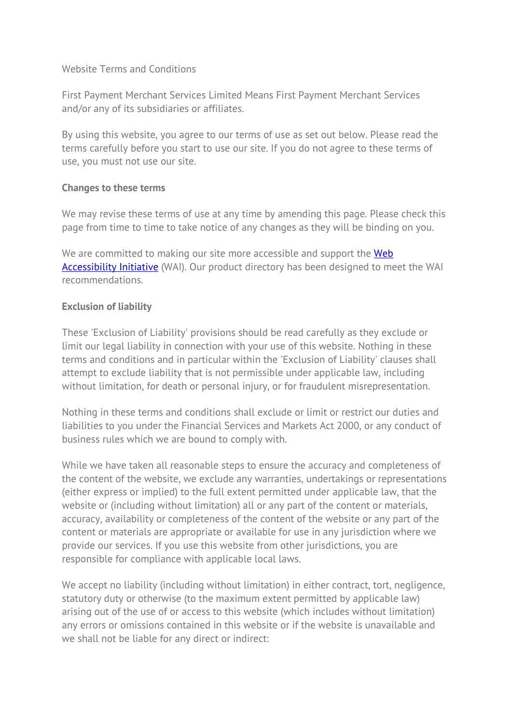#### Website Terms and Conditions

First Payment Merchant Services Limited Means First Payment Merchant Services and/or any of its subsidiaries or affiliates.

By using this website, you agree to our terms of use as set out below. Please read the terms carefully before you start to use our site. If you do not agree to these terms of use, you must not use our site.

#### **Changes to these terms**

We may revise these terms of use at any time by amending this page. Please check this page from time to time to take notice of any changes as they will be binding on you.

We are committed to making our site more accessible and support the **Web** [Accessibility Initiative](http://www.w3.org/WAI/) (WAI). Our product directory has been designed to meet the WAI recommendations.

#### **Exclusion of liability**

These 'Exclusion of Liability' provisions should be read carefully as they exclude or limit our legal liability in connection with your use of this website. Nothing in these terms and conditions and in particular within the 'Exclusion of Liability' clauses shall attempt to exclude liability that is not permissible under applicable law, including without limitation, for death or personal injury, or for fraudulent misrepresentation.

Nothing in these terms and conditions shall exclude or limit or restrict our duties and liabilities to you under the Financial Services and Markets Act 2000, or any conduct of business rules which we are bound to comply with.

While we have taken all reasonable steps to ensure the accuracy and completeness of the content of the website, we exclude any warranties, undertakings or representations (either express or implied) to the full extent permitted under applicable law, that the website or (including without limitation) all or any part of the content or materials, accuracy, availability or completeness of the content of the website or any part of the content or materials are appropriate or available for use in any jurisdiction where we provide our services. If you use this website from other jurisdictions, you are responsible for compliance with applicable local laws.

We accept no liability (including without limitation) in either contract, tort, negligence, statutory duty or otherwise (to the maximum extent permitted by applicable law) arising out of the use of or access to this website (which includes without limitation) any errors or omissions contained in this website or if the website is unavailable and we shall not be liable for any direct or indirect: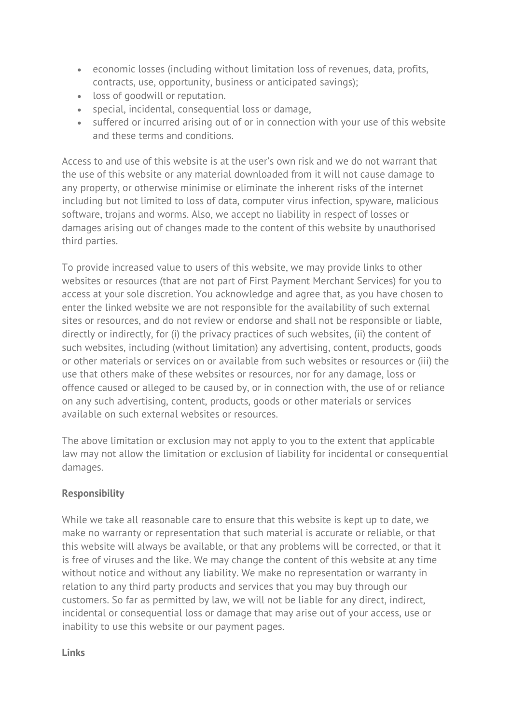- economic losses (including without limitation loss of revenues, data, profits, contracts, use, opportunity, business or anticipated savings);
- loss of goodwill or reputation.
- special, incidental, consequential loss or damage,
- suffered or incurred arising out of or in connection with your use of this website and these terms and conditions.

Access to and use of this website is at the user's own risk and we do not warrant that the use of this website or any material downloaded from it will not cause damage to any property, or otherwise minimise or eliminate the inherent risks of the internet including but not limited to loss of data, computer virus infection, spyware, malicious software, trojans and worms. Also, we accept no liability in respect of losses or damages arising out of changes made to the content of this website by unauthorised third parties.

To provide increased value to users of this website, we may provide links to other websites or resources (that are not part of First Payment Merchant Services) for you to access at your sole discretion. You acknowledge and agree that, as you have chosen to enter the linked website we are not responsible for the availability of such external sites or resources, and do not review or endorse and shall not be responsible or liable, directly or indirectly, for (i) the privacy practices of such websites, (ii) the content of such websites, including (without limitation) any advertising, content, products, goods or other materials or services on or available from such websites or resources or (iii) the use that others make of these websites or resources, nor for any damage, loss or offence caused or alleged to be caused by, or in connection with, the use of or reliance on any such advertising, content, products, goods or other materials or services available on such external websites or resources.

The above limitation or exclusion may not apply to you to the extent that applicable law may not allow the limitation or exclusion of liability for incidental or consequential damages.

# **Responsibility**

While we take all reasonable care to ensure that this website is kept up to date, we make no warranty or representation that such material is accurate or reliable, or that this website will always be available, or that any problems will be corrected, or that it is free of viruses and the like. We may change the content of this website at any time without notice and without any liability. We make no representation or warranty in relation to any third party products and services that you may buy through our customers. So far as permitted by law, we will not be liable for any direct, indirect, incidental or consequential loss or damage that may arise out of your access, use or inability to use this website or our payment pages.

**Links**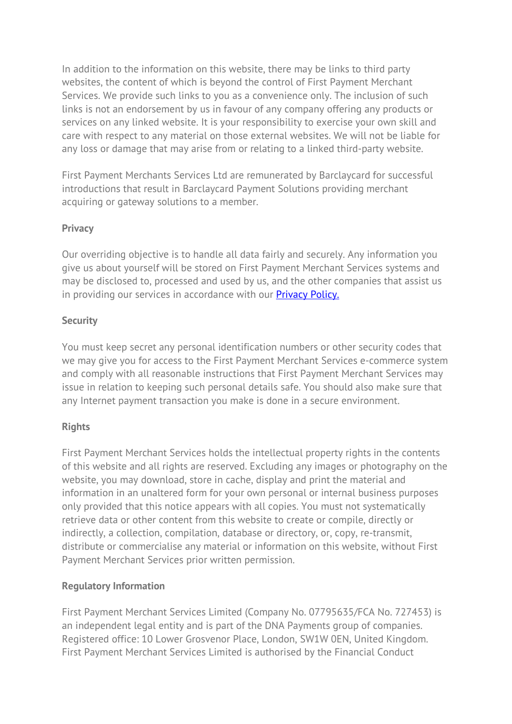In addition to the information on this website, there may be links to third party websites, the content of which is beyond the control of First Payment Merchant Services. We provide such links to you as a convenience only. The inclusion of such links is not an endorsement by us in favour of any company offering any products or services on any linked website. It is your responsibility to exercise your own skill and care with respect to any material on those external websites. We will not be liable for any loss or damage that may arise from or relating to a linked third-party website.

First Payment Merchants Services Ltd are remunerated by Barclaycard for successful introductions that result in Barclaycard Payment Solutions providing merchant acquiring or gateway solutions to a member.

# **Privacy**

Our overriding objective is to handle all data fairly and securely. Any information you give us about yourself will be stored on First Payment Merchant Services systems and may be disclosed to, processed and used by us, and the other companies that assist us in providing our services in accordance with our **[Privacy Policy.](https://firstpaymentmerchantservices.co.uk/wp-content/uploads/2021/06/PRIVACY-POLICY-FPMS-reviewed-16.06.21.pdf)** 

### **Security**

You must keep secret any personal identification numbers or other security codes that we may give you for access to the First Payment Merchant Services e-commerce system and comply with all reasonable instructions that First Payment Merchant Services may issue in relation to keeping such personal details safe. You should also make sure that any Internet payment transaction you make is done in a secure environment.

# **Rights**

First Payment Merchant Services holds the intellectual property rights in the contents of this website and all rights are reserved. Excluding any images or photography on the website, you may download, store in cache, display and print the material and information in an unaltered form for your own personal or internal business purposes only provided that this notice appears with all copies. You must not systematically retrieve data or other content from this website to create or compile, directly or indirectly, a collection, compilation, database or directory, or, copy, re-transmit, distribute or commercialise any material or information on this website, without First Payment Merchant Services prior written permission.

# **Regulatory Information**

First Payment Merchant Services Limited (Company No. 07795635/FCA No. 727453) is an independent legal entity and is part of the DNA Payments group of companies. Registered office: 10 Lower Grosvenor Place, London, SW1W 0EN, United Kingdom. First Payment Merchant Services Limited is authorised by the Financial Conduct